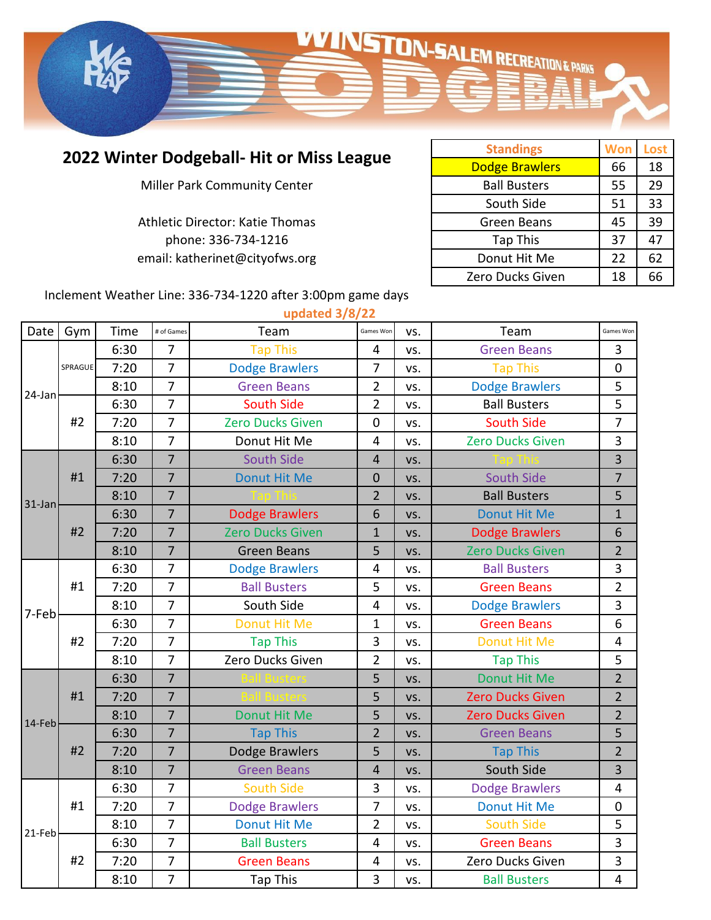

## **2022 Winter Dodgeball- Hit or Miss League**

Miller Park Community Center

phone: 336-734-1216 Athletic Director: Katie Thomas email: katherinet@cityofws.org

| <b>Standings</b>      | Won | Lost |
|-----------------------|-----|------|
| <b>Dodge Brawlers</b> | 66  | 18   |
| <b>Ball Busters</b>   | 55  | 29   |
| South Side            | 51  | 33   |
| Green Beans           | 45  | 39   |
| <b>Tap This</b>       | 37  | 47   |
| Donut Hit Me          | 22  | 62   |
| Zero Ducks Given      | 18  | 66   |

Inclement Weather Line: 336-734-1220 after 3:00pm game days

|        | updated 3/8/22 |      |                |                         |                         |     |                         |                         |  |
|--------|----------------|------|----------------|-------------------------|-------------------------|-----|-------------------------|-------------------------|--|
| Date   | Gym            | Time | # of Games     | Team                    | Games Won               | VS. | Team                    | Games Won               |  |
| 24-Jan | SPRAGUE        | 6:30 | $\overline{7}$ | <b>Tap This</b>         | 4                       | VS. | <b>Green Beans</b>      | 3                       |  |
|        |                | 7:20 | $\overline{7}$ | <b>Dodge Brawlers</b>   | $\overline{7}$          | VS. | <b>Tap This</b>         | $\mathbf 0$             |  |
|        |                | 8:10 | $\overline{7}$ | <b>Green Beans</b>      | $\overline{2}$          | VS. | <b>Dodge Brawlers</b>   | 5                       |  |
|        | #2             | 6:30 | $\overline{7}$ | <b>South Side</b>       | $\overline{2}$          | VS. | <b>Ball Busters</b>     | 5                       |  |
|        |                | 7:20 | $\overline{7}$ | <b>Zero Ducks Given</b> | 0                       | VS. | <b>South Side</b>       | 7                       |  |
|        |                | 8:10 | $\overline{7}$ | Donut Hit Me            | $\overline{4}$          | VS. | <b>Zero Ducks Given</b> | 3                       |  |
| 31-Jan | #1             | 6:30 | $\overline{7}$ | <b>South Side</b>       | $\overline{4}$          | VS. |                         | 3                       |  |
|        |                | 7:20 | $\overline{7}$ | <b>Donut Hit Me</b>     | $\mathbf 0$             | VS. | South Side              | $\overline{7}$          |  |
|        |                | 8:10 | $\overline{7}$ |                         | $\overline{2}$          | VS. | <b>Ball Busters</b>     | 5                       |  |
|        | #2             | 6:30 | $\overline{7}$ | <b>Dodge Brawlers</b>   | 6                       | VS. | <b>Donut Hit Me</b>     | $\mathbf{1}$            |  |
|        |                | 7:20 | $\overline{7}$ | <b>Zero Ducks Given</b> | 1                       | VS. | <b>Dodge Brawlers</b>   | 6                       |  |
|        |                | 8:10 | $\overline{7}$ | <b>Green Beans</b>      | 5                       | VS. | <b>Zero Ducks Given</b> | $\overline{2}$          |  |
| 7-Feb  | #1             | 6:30 | $\overline{7}$ | <b>Dodge Brawlers</b>   | $\overline{4}$          | VS. | <b>Ball Busters</b>     | 3                       |  |
|        |                | 7:20 | $\overline{7}$ | <b>Ball Busters</b>     | 5                       | VS. | <b>Green Beans</b>      | $\overline{\mathbf{c}}$ |  |
|        |                | 8:10 | $\overline{7}$ | South Side              | $\overline{\mathbf{4}}$ | VS. | <b>Dodge Brawlers</b>   | 3                       |  |
|        | #2             | 6:30 | $\overline{7}$ | <b>Donut Hit Me</b>     | $\mathbf 1$             | VS. | <b>Green Beans</b>      | 6                       |  |
|        |                | 7:20 | $\overline{7}$ | <b>Tap This</b>         | 3                       | VS. | <b>Donut Hit Me</b>     | 4                       |  |
|        |                | 8:10 | $\overline{7}$ | Zero Ducks Given        | $\overline{2}$          | VS. | <b>Tap This</b>         | 5                       |  |
|        |                | 6:30 | $\overline{7}$ |                         | 5                       | VS. | <b>Donut Hit Me</b>     | $\overline{2}$          |  |
|        | #1             | 7:20 | $\overline{7}$ |                         | 5                       | VS. | <b>Zero Ducks Given</b> | $\overline{2}$          |  |
| 14-Feb |                | 8:10 | $\overline{7}$ | <b>Donut Hit Me</b>     | 5                       | VS. | <b>Zero Ducks Given</b> | $\overline{2}$          |  |
|        | #2             | 6:30 | $\overline{7}$ | <b>Tap This</b>         | $\overline{2}$          | VS. | <b>Green Beans</b>      | 5                       |  |
|        |                | 7:20 | $\overline{7}$ | Dodge Brawlers          | 5                       | VS. | <b>Tap This</b>         | $\overline{2}$          |  |
|        |                | 8:10 | $\overline{7}$ | <b>Green Beans</b>      | $\overline{4}$          | VS. | South Side              | 3                       |  |
|        | #1             | 6:30 | 7              | <b>South Side</b>       | 3                       | VS. | <b>Dodge Brawlers</b>   | 4                       |  |
| 21-Feb |                | 7:20 | $\overline{7}$ | <b>Dodge Brawlers</b>   | 7                       | VS. | Donut Hit Me            | $\mathbf 0$             |  |
|        |                | 8:10 | $\overline{7}$ | Donut Hit Me            | $\overline{2}$          | VS. | <b>South Side</b>       | 5                       |  |
|        | #2             | 6:30 | $\overline{7}$ | <b>Ball Busters</b>     | $\overline{4}$          | VS. | <b>Green Beans</b>      | 3                       |  |
|        |                | 7:20 | $\overline{7}$ | <b>Green Beans</b>      | 4                       | VS. | Zero Ducks Given        | 3                       |  |
|        |                | 8:10 | $\overline{7}$ | <b>Tap This</b>         | 3                       | VS. | <b>Ball Busters</b>     | 4                       |  |